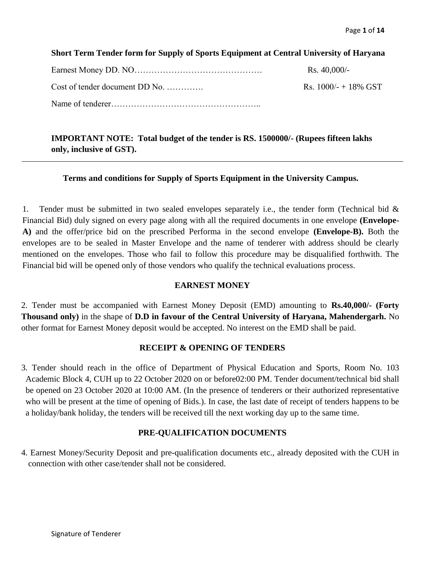## **Short Term Tender form for Supply of Sports Equipment at Central University of Haryana**

|                                | Rs. $40,000/-$          |
|--------------------------------|-------------------------|
| Cost of tender document DD No. | Rs. $1000/- + 18\%$ GST |
|                                |                         |

**IMPORTANT NOTE: Total budget of the tender is RS. 1500000/- (Rupees fifteen lakhs only, inclusive of GST).**

#### **Terms and conditions for Supply of Sports Equipment in the University Campus.**

1. Tender must be submitted in two sealed envelopes separately i.e., the tender form (Technical bid & Financial Bid) duly signed on every page along with all the required documents in one envelope **(Envelope-A)** and the offer/price bid on the prescribed Performa in the second envelope **(Envelope-B).** Both the envelopes are to be sealed in Master Envelope and the name of tenderer with address should be clearly mentioned on the envelopes. Those who fail to follow this procedure may be disqualified forthwith. The Financial bid will be opened only of those vendors who qualify the technical evaluations process.

#### **EARNEST MONEY**

2. Tender must be accompanied with Earnest Money Deposit (EMD) amounting to **Rs.40,000/- (Forty Thousand only)** in the shape of **D.D in favour of the Central University of Haryana, Mahendergarh.** No other format for Earnest Money deposit would be accepted. No interest on the EMD shall be paid.

#### **RECEIPT & OPENING OF TENDERS**

3. Tender should reach in the office of Department of Physical Education and Sports, Room No. 103 Academic Block 4, CUH up to 22 October 2020 on or before02:00 PM. Tender document/technical bid shall be opened on 23 October 2020 at 10:00 AM. (In the presence of tenderers or their authorized representative who will be present at the time of opening of Bids.). In case, the last date of receipt of tenders happens to be a holiday/bank holiday, the tenders will be received till the next working day up to the same time.

#### **PRE-QUALIFICATION DOCUMENTS**

4. Earnest Money/Security Deposit and pre-qualification documents etc., already deposited with the CUH in connection with other case/tender shall not be considered.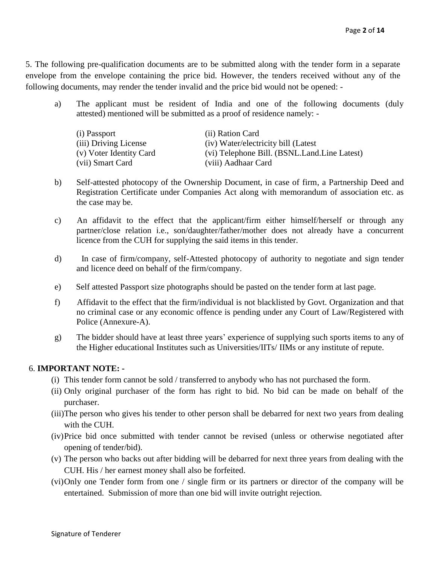5. The following pre-qualification documents are to be submitted along with the tender form in a separate envelope from the envelope containing the price bid. However, the tenders received without any of the following documents, may render the tender invalid and the price bid would not be opened: -

a) The applicant must be resident of India and one of the following documents (duly attested) mentioned will be submitted as a proof of residence namely: -

| (i) Passport            | (ii) Ration Card                             |
|-------------------------|----------------------------------------------|
| (iii) Driving License   | (iv) Water/electricity bill (Latest)         |
| (v) Voter Identity Card | (vi) Telephone Bill. (BSNL.Land.Line Latest) |
| (vii) Smart Card        | (viii) Aadhaar Card                          |

- b) Self-attested photocopy of the Ownership Document, in case of firm, a Partnership Deed and Registration Certificate under Companies Act along with memorandum of association etc. as the case may be.
- c) An affidavit to the effect that the applicant/firm either himself/herself or through any partner/close relation i.e., son/daughter/father/mother does not already have a concurrent licence from the CUH for supplying the said items in this tender.
- d) In case of firm/company, self-Attested photocopy of authority to negotiate and sign tender and licence deed on behalf of the firm/company.
- e) Self attested Passport size photographs should be pasted on the tender form at last page.
- f) Affidavit to the effect that the firm/individual is not blacklisted by Govt. Organization and that no criminal case or any economic offence is pending under any Court of Law/Registered with Police (Annexure-A).
- g) The bidder should have at least three years' experience of supplying such sports items to any of the Higher educational Institutes such as Universities/IITs/ IIMs or any institute of repute.

# 6. **IMPORTANT NOTE: -**

- (i) This tender form cannot be sold / transferred to anybody who has not purchased the form.
- (ii) Only original purchaser of the form has right to bid. No bid can be made on behalf of the purchaser.
- (iii)The person who gives his tender to other person shall be debarred for next two years from dealing with the CUH.
- (iv)Price bid once submitted with tender cannot be revised (unless or otherwise negotiated after opening of tender/bid).
- (v) The person who backs out after bidding will be debarred for next three years from dealing with the CUH. His / her earnest money shall also be forfeited.
- (vi)Only one Tender form from one / single firm or its partners or director of the company will be entertained. Submission of more than one bid will invite outright rejection.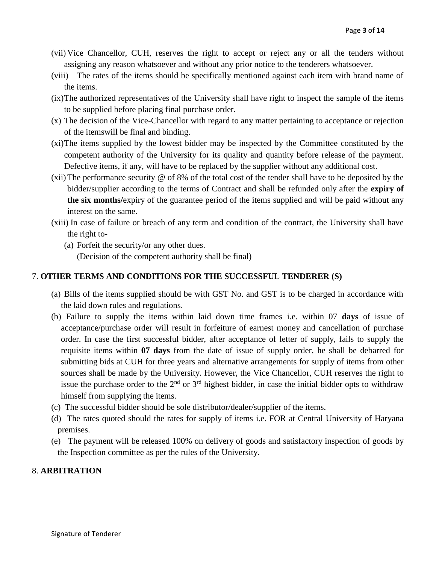- (vii) Vice Chancellor, CUH, reserves the right to accept or reject any or all the tenders without assigning any reason whatsoever and without any prior notice to the tenderers whatsoever.
- (viii) The rates of the items should be specifically mentioned against each item with brand name of the items.
- (ix)The authorized representatives of the University shall have right to inspect the sample of the items to be supplied before placing final purchase order.
- (x) The decision of the Vice-Chancellor with regard to any matter pertaining to acceptance or rejection of the itemswill be final and binding.
- (xi)The items supplied by the lowest bidder may be inspected by the Committee constituted by the competent authority of the University for its quality and quantity before release of the payment. Defective items, if any, will have to be replaced by the supplier without any additional cost.
- (xii)The performance security @ of 8% of the total cost of the tender shall have to be deposited by the bidder/supplier according to the terms of Contract and shall be refunded only after the **expiry of the six months/**expiry of the guarantee period of the items supplied and will be paid without any interest on the same.
- (xiii) In case of failure or breach of any term and condition of the contract, the University shall have the right to-
	- (a) Forfeit the security/or any other dues.

(Decision of the competent authority shall be final)

## 7. **OTHER TERMS AND CONDITIONS FOR THE SUCCESSFUL TENDERER (S)**

- (a) Bills of the items supplied should be with GST No. and GST is to be charged in accordance with the laid down rules and regulations.
- (b) Failure to supply the items within laid down time frames i.e. within 07 **days** of issue of acceptance/purchase order will result in forfeiture of earnest money and cancellation of purchase order. In case the first successful bidder, after acceptance of letter of supply, fails to supply the requisite items within **07 days** from the date of issue of supply order, he shall be debarred for submitting bids at CUH for three years and alternative arrangements for supply of items from other sources shall be made by the University. However, the Vice Chancellor, CUH reserves the right to issue the purchase order to the  $2<sup>nd</sup>$  or  $3<sup>rd</sup>$  highest bidder, in case the initial bidder opts to withdraw himself from supplying the items.
- (c) The successful bidder should be sole distributor/dealer/supplier of the items.
- (d) The rates quoted should the rates for supply of items i.e. FOR at Central University of Haryana premises.
- (e) The payment will be released 100% on delivery of goods and satisfactory inspection of goods by the Inspection committee as per the rules of the University.

## 8. **ARBITRATION**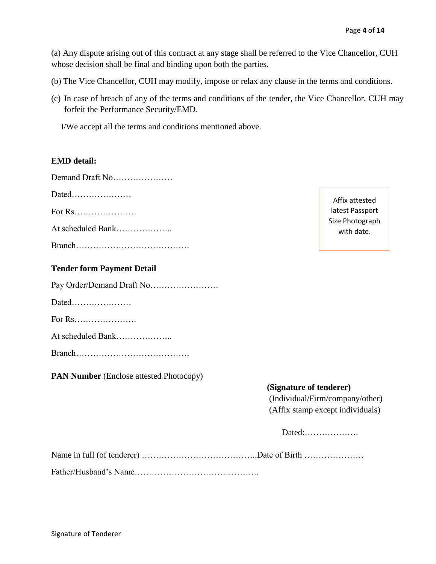(a) Any dispute arising out of this contract at any stage shall be referred to the Vice Chancellor, CUH whose decision shall be final and binding upon both the parties.

- (b) The Vice Chancellor, CUH may modify, impose or relax any clause in the terms and conditions.
- (c) In case of breach of any of the terms and conditions of the tender, the Vice Chancellor, CUH may forfeit the Performance Security/EMD.

I/We accept all the terms and conditions mentioned above.

#### **EMD detail:**

| Demand Draft No                                   |
|---------------------------------------------------|
|                                                   |
|                                                   |
| At scheduled Bank                                 |
|                                                   |
| <b>Tender form Payment Detail</b>                 |
| Pay Order/Demand Draft No                         |
| Dated                                             |
| For Rs. $\ldots$ . $\ldots$ . $\ldots$ . $\ldots$ |

At scheduled Bank………………..

Branch………………………………….

**PAN Number** (Enclose attested Photocopy)

# Affix attested latest Passport Size Photograph with date.

#### **(Signature of tenderer)**

(Individual/Firm/company/other) (Affix stamp except individuals)

Dated:……………….

Name in full (of tenderer) …………………………………..Date of Birth …………………

Father/Husband's Name……………………………………..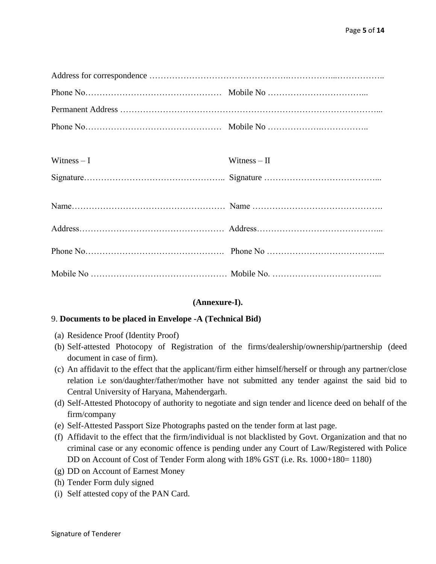| Witness $-I$ | Witness $-$ II |
|--------------|----------------|
|              |                |
|              |                |
|              |                |
|              |                |
|              |                |

#### **(Annexure-I).**

#### 9. **Documents to be placed in Envelope -A (Technical Bid)**

- (a) Residence Proof (Identity Proof)
- (b) Self-attested Photocopy of Registration of the firms/dealership/ownership/partnership (deed document in case of firm).
- (c) An affidavit to the effect that the applicant/firm either himself/herself or through any partner/close relation i.e son/daughter/father/mother have not submitted any tender against the said bid to Central University of Haryana, Mahendergarh.
- (d) Self-Attested Photocopy of authority to negotiate and sign tender and licence deed on behalf of the firm/company
- (e) Self-Attested Passport Size Photographs pasted on the tender form at last page.
- (f) Affidavit to the effect that the firm/individual is not blacklisted by Govt. Organization and that no criminal case or any economic offence is pending under any Court of Law/Registered with Police DD on Account of Cost of Tender Form along with 18% GST (i.e. Rs. 1000+180= 1180)
- (g) DD on Account of Earnest Money
- (h) Tender Form duly signed
- (i) Self attested copy of the PAN Card.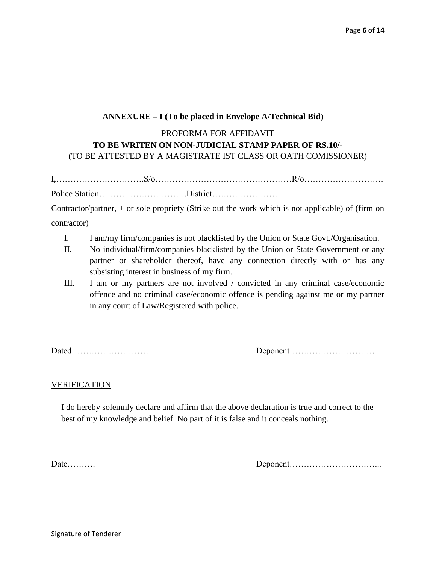## **ANNEXURE – I (To be placed in Envelope A/Technical Bid)**

# PROFORMA FOR AFFIDAVIT **TO BE WRITEN ON NON-JUDICIAL STAMP PAPER OF RS.10/-** (TO BE ATTESTED BY A MAGISTRATE IST CLASS OR OATH COMISSIONER)

I,………………………….S/o…………………………………………R/o………………………. Police Station………………………….District……………………

Contractor/partner, + or sole propriety (Strike out the work which is not applicable) of (firm on contractor)

- I. I am/my firm/companies is not blacklisted by the Union or State Govt./Organisation.
- II. No individual/firm/companies blacklisted by the Union or State Government or any partner or shareholder thereof, have any connection directly with or has any subsisting interest in business of my firm.
- III. I am or my partners are not involved / convicted in any criminal case/economic offence and no criminal case/economic offence is pending against me or my partner in any court of Law/Registered with police.

Dated……………………… Deponent…………………………

#### **VERIFICATION**

I do hereby solemnly declare and affirm that the above declaration is true and correct to the best of my knowledge and belief. No part of it is false and it conceals nothing.

Date………. Deponent…………………………...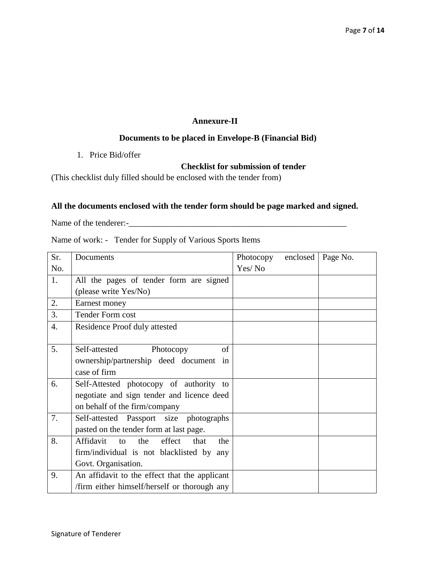## **Annexure-II**

# **Documents to be placed in Envelope-B (Financial Bid)**

1. Price Bid/offer

# **Checklist for submission of tender**

(This checklist duly filled should be enclosed with the tender from)

## **All the documents enclosed with the tender form should be page marked and signed.**

Name of the tenderer:-\_\_\_\_\_\_\_\_\_\_\_\_\_\_\_\_\_\_\_\_\_\_\_\_\_\_\_\_\_\_\_\_\_\_\_\_\_\_\_\_\_\_\_\_\_\_\_\_\_\_\_

Name of work: - Tender for Supply of Various Sports Items

| Sr.              | Documents                                                  | Photocopy | enclosed | Page No. |
|------------------|------------------------------------------------------------|-----------|----------|----------|
| No.              |                                                            | Yes/No    |          |          |
| 1.               | All the pages of tender form are signed                    |           |          |          |
|                  | (please write Yes/No)                                      |           |          |          |
| 2.               | Earnest money                                              |           |          |          |
| 3.               | <b>Tender Form cost</b>                                    |           |          |          |
| $\overline{4}$ . | Residence Proof duly attested                              |           |          |          |
|                  |                                                            |           |          |          |
| 5.               | of<br>Self-attested<br>Photocopy                           |           |          |          |
|                  | ownership/partnership deed document in                     |           |          |          |
|                  | case of firm                                               |           |          |          |
| 6.               | Self-Attested photocopy of authority to                    |           |          |          |
|                  | negotiate and sign tender and licence deed                 |           |          |          |
|                  | on behalf of the firm/company                              |           |          |          |
| 7.               | Self-attested Passport size photographs                    |           |          |          |
|                  | pasted on the tender form at last page.                    |           |          |          |
| 8.               | Affidavit<br>the<br>effect<br>that<br>$\mathsf{to}$<br>the |           |          |          |
|                  | firm/individual is not blacklisted by any                  |           |          |          |
|                  | Govt. Organisation.                                        |           |          |          |
| 9.               | An affidavit to the effect that the applicant              |           |          |          |
|                  | /firm either himself/herself or thorough any               |           |          |          |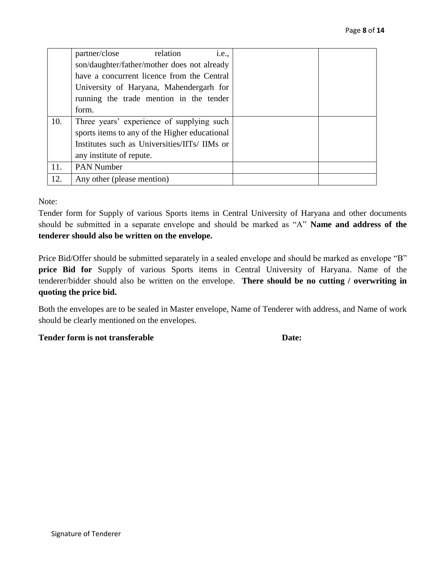|     | partner/close<br>relation<br><i>i.e.</i> ,    |  |
|-----|-----------------------------------------------|--|
|     | son/daughter/father/mother does not already   |  |
|     | have a concurrent licence from the Central    |  |
|     | University of Haryana, Mahendergarh for       |  |
|     | running the trade mention in the tender       |  |
|     | form.                                         |  |
| 10. | Three years' experience of supplying such     |  |
|     | sports items to any of the Higher educational |  |
|     | Institutes such as Universities/IITs/ IIMs or |  |
|     | any institute of repute.                      |  |
| 11. | <b>PAN Number</b>                             |  |
| 12. | Any other (please mention)                    |  |

Note:

Tender form for Supply of various Sports items in Central University of Haryana and other documents should be submitted in a separate envelope and should be marked as "A" **Name and address of the tenderer should also be written on the envelope.**

Price Bid/Offer should be submitted separately in a sealed envelope and should be marked as envelope "B" **price Bid for** Supply of various Sports items in Central University of Haryana. Name of the tenderer/bidder should also be written on the envelope. **There should be no cutting / overwriting in quoting the price bid.**

Both the envelopes are to be sealed in Master envelope, Name of Tenderer with address, and Name of work should be clearly mentioned on the envelopes.

#### **Tender form is not transferable <b>Date:** Date: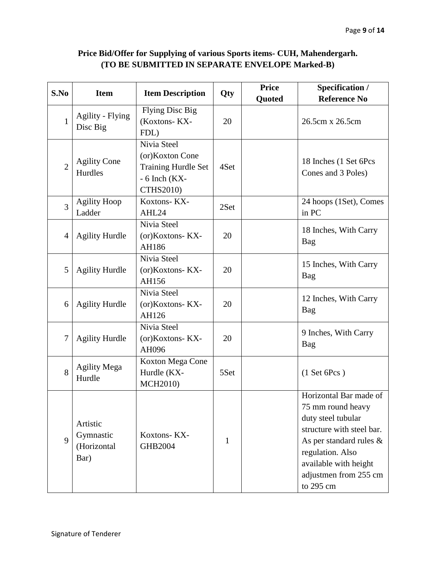# **Price Bid/Offer for Supplying of various Sports items- CUH, Mahendergarh. (TO BE SUBMITTED IN SEPARATE ENVELOPE Marked-B)**

| S.No           | <b>Item</b>                                  | <b>Item Description</b>                                                                               | Qty          | <b>Price</b> | Specification /                                                                                                                                                                                                 |
|----------------|----------------------------------------------|-------------------------------------------------------------------------------------------------------|--------------|--------------|-----------------------------------------------------------------------------------------------------------------------------------------------------------------------------------------------------------------|
|                |                                              |                                                                                                       |              | Quoted       | <b>Reference No</b>                                                                                                                                                                                             |
| $\mathbf{1}$   | Agility - Flying<br>Disc Big                 | <b>Flying Disc Big</b><br>(Koxtons-KX-<br>FDL)                                                        | 20           |              | 26.5cm x 26.5cm                                                                                                                                                                                                 |
| $\overline{2}$ | <b>Agility Cone</b><br>Hurdles               | Nivia Steel<br>(or)Koxton Cone<br><b>Training Hurdle Set</b><br>$-6$ Inch (KX $-$<br><b>CTHS2010)</b> | 4Set         |              | 18 Inches (1 Set 6Pcs)<br>Cones and 3 Poles)                                                                                                                                                                    |
| 3              | <b>Agility Hoop</b><br>Ladder                | Koxtons-KX-<br>AHL24                                                                                  | 2Set         |              | 24 hoops (1Set), Comes<br>in PC                                                                                                                                                                                 |
| $\overline{4}$ | <b>Agility Hurdle</b>                        | Nivia Steel<br>(or)Koxtons-KX-<br>AH186                                                               | 20           |              | 18 Inches, With Carry<br>Bag                                                                                                                                                                                    |
| 5              | <b>Agility Hurdle</b>                        | Nivia Steel<br>(or)Koxtons-KX-<br>AH156                                                               | 20           |              | 15 Inches, With Carry<br>Bag                                                                                                                                                                                    |
| 6              | <b>Agility Hurdle</b>                        | Nivia Steel<br>(or)Koxtons-KX-<br>AH126                                                               | 20           |              | 12 Inches, With Carry<br>Bag                                                                                                                                                                                    |
| 7              | <b>Agility Hurdle</b>                        | Nivia Steel<br>(or)Koxtons-KX-<br>AH096                                                               | 20           |              | 9 Inches, With Carry<br>Bag                                                                                                                                                                                     |
| 8              | <b>Agility Mega</b><br>Hurdle                | Koxton Mega Cone<br>Hurdle (KX-<br><b>MCH2010)</b>                                                    | 5Set         |              | $(1$ Set 6Pcs)                                                                                                                                                                                                  |
| 9              | Artistic<br>Gymnastic<br>(Horizontal<br>Bar) | Koxtons-KX-<br><b>GHB2004</b>                                                                         | $\mathbf{1}$ |              | Horizontal Bar made of<br>75 mm round heavy<br>duty steel tubular<br>structure with steel bar.<br>As per standard rules $\&$<br>regulation. Also<br>available with height<br>adjustmen from 255 cm<br>to 295 cm |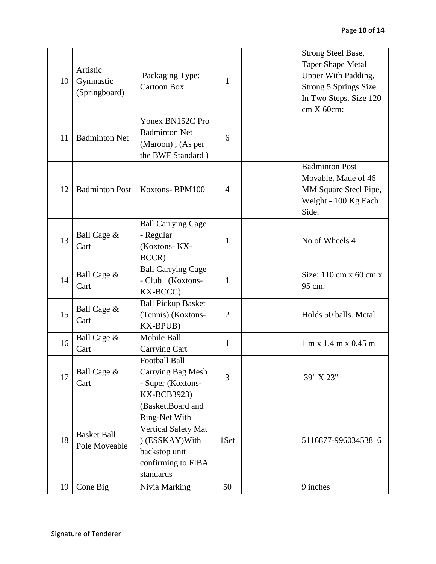| 10 | Artistic<br>Gymnastic<br>(Springboard) | Packaging Type:<br><b>Cartoon Box</b>                                                                                             | $\mathbf{1}$   | Strong Steel Base,<br><b>Taper Shape Metal</b><br>Upper With Padding,<br><b>Strong 5 Springs Size</b><br>In Two Steps. Size 120<br>$cm X 60cm$ : |
|----|----------------------------------------|-----------------------------------------------------------------------------------------------------------------------------------|----------------|--------------------------------------------------------------------------------------------------------------------------------------------------|
| 11 | <b>Badminton Net</b>                   | Yonex BN152C Pro<br><b>Badminton Net</b><br>(Maroon), (As per<br>the BWF Standard)                                                | 6              |                                                                                                                                                  |
| 12 | <b>Badminton Post</b>                  | Koxtons-BPM100                                                                                                                    | $\overline{4}$ | <b>Badminton Post</b><br>Movable, Made of 46<br>MM Square Steel Pipe,<br>Weight - 100 Kg Each<br>Side.                                           |
| 13 | Ball Cage &<br>Cart                    | <b>Ball Carrying Cage</b><br>- Regular<br>(Koxtons-KX-<br>BCCR)                                                                   | $\mathbf{1}$   | No of Wheels 4                                                                                                                                   |
| 14 | Ball Cage &<br>Cart                    | <b>Ball Carrying Cage</b><br>- Club (Koxtons-<br>KX-BCCC)                                                                         | $\mathbf{1}$   | Size: $110 \text{ cm}$ x $60 \text{ cm}$ x<br>95 cm.                                                                                             |
| 15 | Ball Cage &<br>Cart                    | <b>Ball Pickup Basket</b><br>(Tennis) (Koxtons-<br><b>KX-BPUB)</b>                                                                | $\overline{2}$ | Holds 50 balls. Metal                                                                                                                            |
| 16 | Ball Cage &<br>Cart                    | Mobile Ball<br><b>Carrying Cart</b>                                                                                               | $\mathbf{1}$   | 1 m x 1.4 m x 0.45 m                                                                                                                             |
| 17 | Ball Cage &<br>Cart                    | <b>Football Ball</b><br>Carrying Bag Mesh<br>- Super (Koxtons-<br>KX-BCB3923)                                                     | 3              | 39" X 23"                                                                                                                                        |
| 18 | <b>Basket Ball</b><br>Pole Moveable    | (Basket, Board and<br>Ring-Net With<br>Vertical Safety Mat<br>) (ESSKAY) With<br>backstop unit<br>confirming to FIBA<br>standards | 1Set           | 5116877-99603453816                                                                                                                              |
| 19 | Cone Big                               | Nivia Marking                                                                                                                     | 50             | 9 inches                                                                                                                                         |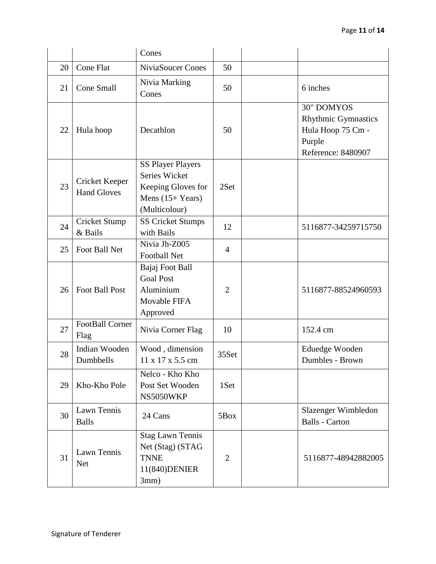|    |                                      | Cones                                                                                                 |                |                                                                                                      |
|----|--------------------------------------|-------------------------------------------------------------------------------------------------------|----------------|------------------------------------------------------------------------------------------------------|
| 20 | Cone Flat                            | NiviaSoucer Cones                                                                                     | 50             |                                                                                                      |
| 21 | Cone Small                           | Nivia Marking<br>Cones                                                                                | 50             | 6 inches                                                                                             |
| 22 | Hula hoop                            | Decathlon                                                                                             | 50             | <b>30" DOMYOS</b><br><b>Rhythmic Gymnastics</b><br>Hula Hoop 75 Cm -<br>Purple<br>Reference: 8480907 |
| 23 | Cricket Keeper<br><b>Hand Gloves</b> | <b>SS Player Players</b><br>Series Wicket<br>Keeping Gloves for<br>Mens $(15+Years)$<br>(Multicolour) | 2Set           |                                                                                                      |
| 24 | Cricket Stump<br>& Bails             | <b>SS Cricket Stumps</b><br>with Bails                                                                | 12             | 5116877-34259715750                                                                                  |
| 25 | Foot Ball Net                        | Nivia Jh-Z005<br><b>Football Net</b>                                                                  | $\overline{4}$ |                                                                                                      |
| 26 | <b>Foot Ball Post</b>                | Bajaj Foot Ball<br><b>Goal Post</b><br>Aluminium<br>Movable FIFA<br>Approved                          | $\overline{2}$ | 5116877-88524960593                                                                                  |
| 27 | FootBall Corner<br>Flag              | Nivia Corner Flag                                                                                     | 10             | 152.4 cm                                                                                             |
| 28 | Indian Wooden<br>Dumbbells           | Wood, dimension<br>11 x 17 x 5.5 cm                                                                   | 35Set          | Eduedge Wooden<br>Dumbles - Brown                                                                    |
| 29 | Kho-Kho Pole                         | Nelco - Kho Kho<br>Post Set Wooden<br>NS5050WKP                                                       | 1Set           |                                                                                                      |
| 30 | Lawn Tennis<br><b>Balls</b>          | 24 Cans                                                                                               | 5Box           | Slazenger Wimbledon<br><b>Balls - Carton</b>                                                         |
| 31 | Lawn Tennis<br><b>Net</b>            | <b>Stag Lawn Tennis</b><br>Net (Stag) (STAG<br><b>TNNE</b><br>11(840) DENIER<br>3mm)                  | $\overline{2}$ | 5116877-48942882005                                                                                  |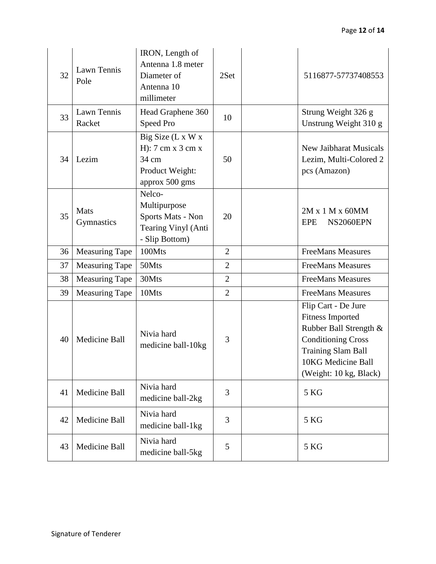| 32 | Lawn Tennis<br>Pole   | IRON, Length of<br>Antenna 1.8 meter<br>Diameter of<br>Antenna 10<br>millimeter                                 | 2Set           | 5116877-57737408553                                                                                                                                                                |
|----|-----------------------|-----------------------------------------------------------------------------------------------------------------|----------------|------------------------------------------------------------------------------------------------------------------------------------------------------------------------------------|
| 33 | Lawn Tennis<br>Racket | Head Graphene 360<br>Speed Pro                                                                                  | 10             | Strung Weight 326 g<br>Unstrung Weight 310 g                                                                                                                                       |
| 34 | Lezim                 | Big Size (L x W x<br>H: $7 \text{ cm} \times 3 \text{ cm} \times$<br>34 cm<br>Product Weight:<br>approx 500 gms | 50             | <b>New Jaibharat Musicals</b><br>Lezim, Multi-Colored 2<br>pcs (Amazon)                                                                                                            |
| 35 | Mats<br>Gymnastics    | Nelco-<br>Multipurpose<br>Sports Mats - Non<br>Tearing Vinyl (Anti<br>- Slip Bottom)                            | 20             | 2M x 1 M x 60MM<br>NS2060EPN<br>EPE                                                                                                                                                |
| 36 | <b>Measuring Tape</b> | 100Mts                                                                                                          | $\overline{2}$ | <b>FreeMans Measures</b>                                                                                                                                                           |
| 37 | Measuring Tape        | 50Mts                                                                                                           | $\overline{2}$ | <b>FreeMans Measures</b>                                                                                                                                                           |
| 38 | <b>Measuring Tape</b> | 30Mts                                                                                                           | $\overline{2}$ | <b>FreeMans Measures</b>                                                                                                                                                           |
| 39 | <b>Measuring Tape</b> | 10Mts                                                                                                           | $\overline{2}$ | <b>FreeMans Measures</b>                                                                                                                                                           |
| 40 | Medicine Ball         | Nivia hard<br>medicine ball-10kg                                                                                | 3              | Flip Cart - De Jure<br><b>Fitness Imported</b><br>Rubber Ball Strength &<br><b>Conditioning Cross</b><br><b>Training Slam Ball</b><br>10KG Medicine Ball<br>(Weight: 10 kg, Black) |
| 41 | Medicine Ball         | Nivia hard<br>medicine ball-2kg                                                                                 | 3              | 5 KG                                                                                                                                                                               |
| 42 | Medicine Ball         | Nivia hard<br>medicine ball-1kg                                                                                 | 3              | 5 KG                                                                                                                                                                               |
| 43 | Medicine Ball         | Nivia hard<br>medicine ball-5kg                                                                                 | 5              | 5 KG                                                                                                                                                                               |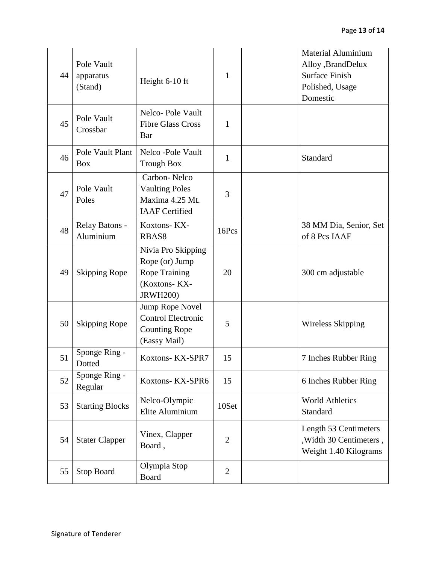| 44 | Pole Vault<br>apparatus<br>(Stand) | Height 6-10 ft                                                                                  | $\mathbf{1}$   | <b>Material Aluminium</b><br>Alloy ,BrandDelux<br><b>Surface Finish</b><br>Polished, Usage<br>Domestic |
|----|------------------------------------|-------------------------------------------------------------------------------------------------|----------------|--------------------------------------------------------------------------------------------------------|
| 45 | Pole Vault<br>Crossbar             | Nelco-Pole Vault<br><b>Fibre Glass Cross</b><br>Bar                                             | $\mathbf{1}$   |                                                                                                        |
| 46 | Pole Vault Plant<br><b>Box</b>     | Nelco -Pole Vault<br><b>Trough Box</b>                                                          | $\mathbf{1}$   | Standard                                                                                               |
| 47 | Pole Vault<br>Poles                | Carbon-Nelco<br><b>Vaulting Poles</b><br>Maxima 4.25 Mt.<br><b>IAAF</b> Certified               | 3              |                                                                                                        |
| 48 | Relay Batons -<br>Aluminium        | Koxtons-KX-<br>RBAS8                                                                            | 16Pcs          | 38 MM Dia, Senior, Set<br>of 8 Pcs IAAF                                                                |
| 49 | <b>Skipping Rope</b>               | Nivia Pro Skipping<br>Rope (or) Jump<br><b>Rope Training</b><br>(Koxtons-KX-<br><b>JRWH200)</b> | 20             | 300 cm adjustable                                                                                      |
| 50 | <b>Skipping Rope</b>               | Jump Rope Novel<br><b>Control Electronic</b><br><b>Counting Rope</b><br>(Eassy Mail)            | 5              | Wireless Skipping                                                                                      |
| 51 | Sponge Ring -<br>Dotted            | Koxtons-KX-SPR7                                                                                 | 15             | 7 Inches Rubber Ring                                                                                   |
| 52 | Sponge Ring -<br>Regular           | Koxtons-KX-SPR6                                                                                 | 15             | 6 Inches Rubber Ring                                                                                   |
| 53 | <b>Starting Blocks</b>             | Nelco-Olympic<br>Elite Aluminium                                                                | 10Set          | <b>World Athletics</b><br>Standard                                                                     |
| 54 | <b>Stater Clapper</b>              | Vinex, Clapper<br>Board,                                                                        | $\overline{2}$ | Length 53 Centimeters<br>, Width 30 Centimeters,<br>Weight 1.40 Kilograms                              |
| 55 | Stop Board                         | Olympia Stop<br><b>Board</b>                                                                    | $\overline{2}$ |                                                                                                        |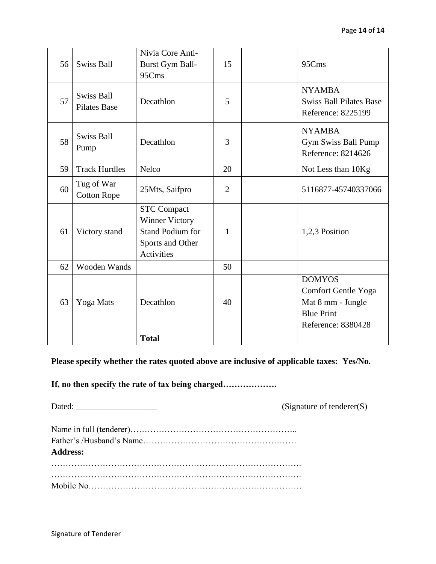| 56 | <b>Swiss Ball</b>                        | Nivia Core Anti-<br>Burst Gym Ball-<br>95Cms                                                                    | 15             | 95Cms                                                                                                |
|----|------------------------------------------|-----------------------------------------------------------------------------------------------------------------|----------------|------------------------------------------------------------------------------------------------------|
| 57 | <b>Swiss Ball</b><br><b>Pilates Base</b> | Decathlon                                                                                                       | 5              | <b>NYAMBA</b><br><b>Swiss Ball Pilates Base</b><br>Reference: 8225199                                |
| 58 | <b>Swiss Ball</b><br>Pump                | Decathlon                                                                                                       | 3              | <b>NYAMBA</b><br>Gym Swiss Ball Pump<br>Reference: 8214626                                           |
| 59 | <b>Track Hurdles</b>                     | Nelco                                                                                                           | 20             | Not Less than 10Kg                                                                                   |
| 60 | Tug of War<br><b>Cotton Rope</b>         | 25Mts, Saifpro                                                                                                  | $\overline{2}$ | 5116877-45740337066                                                                                  |
| 61 | Victory stand                            | <b>STC Compact</b><br><b>Winner Victory</b><br><b>Stand Podium for</b><br>Sports and Other<br><b>Activities</b> | 1              | 1,2,3 Position                                                                                       |
| 62 | Wooden Wands                             |                                                                                                                 | 50             |                                                                                                      |
| 63 | Yoga Mats                                | Decathlon                                                                                                       | 40             | <b>DOMYOS</b><br>Comfort Gentle Yoga<br>Mat 8 mm - Jungle<br><b>Blue Print</b><br>Reference: 8380428 |
|    |                                          | <b>Total</b>                                                                                                    |                |                                                                                                      |

**Please specify whether the rates quoted above are inclusive of applicable taxes: Yes/No.**

**If, no then specify the rate of tax being charged……………….**

Dated: \_\_\_\_\_\_\_\_\_\_\_\_\_\_\_\_\_\_\_ (Signature of tenderer(S)

| <b>Address:</b> |  |
|-----------------|--|
|                 |  |
|                 |  |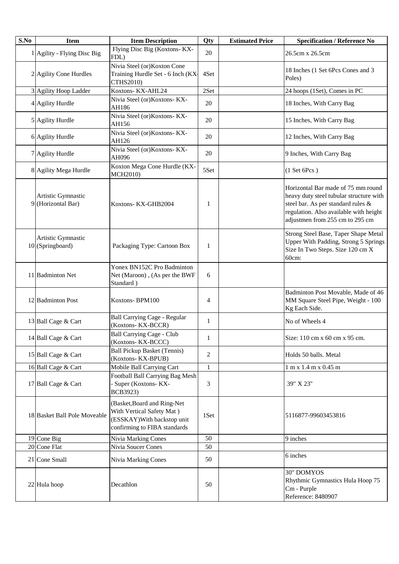| S.No | <b>Item</b>                              | <b>Item Description</b>                                                                                                 | Qty          | <b>Estimated Price</b> | <b>Specification / Reference No</b>                                                                                                                                                              |
|------|------------------------------------------|-------------------------------------------------------------------------------------------------------------------------|--------------|------------------------|--------------------------------------------------------------------------------------------------------------------------------------------------------------------------------------------------|
|      | 1 Agility - Flying Disc Big              | Flying Disc Big (Koxtons- KX-<br>FDL)                                                                                   | 20           |                        | 26.5cm x 26.5cm                                                                                                                                                                                  |
|      | 2 Agility Cone Hurdles                   | Nivia Steel (or) Koxton Cone<br>Training Hurdle Set - 6 Inch (KX-<br>CTHS2010)                                          | 4Set         |                        | 18 Inches (1 Set 6Pcs Cones and 3<br>Poles)                                                                                                                                                      |
|      | 3 Agility Hoop Ladder                    | Koxtons-KX-AHL24                                                                                                        | 2Set         |                        | 24 hoops (1Set), Comes in PC                                                                                                                                                                     |
|      | 4 Agility Hurdle                         | Nivia Steel (or)Koxtons-KX-<br>AH186                                                                                    | 20           |                        | 18 Inches, With Carry Bag                                                                                                                                                                        |
|      | 5 Agility Hurdle                         | Nivia Steel (or)Koxtons-KX-<br>AH156                                                                                    | 20           |                        | 15 Inches, With Carry Bag                                                                                                                                                                        |
|      | 6 Agility Hurdle                         | Nivia Steel (or)Koxtons-KX-<br>AH126                                                                                    | 20           |                        | 12 Inches, With Carry Bag                                                                                                                                                                        |
|      | 7 Agility Hurdle                         | Nivia Steel (or)Koxtons-KX-<br>AH096                                                                                    | 20           |                        | 9 Inches, With Carry Bag                                                                                                                                                                         |
|      | 8 Agility Mega Hurdle                    | Koxton Mega Cone Hurdle (KX-<br>MCH2010)                                                                                | 5Set         |                        | $(1$ Set 6Pcs)                                                                                                                                                                                   |
|      | Artistic Gymnastic<br>9 (Horizontal Bar) | Koxtons-KX-GHB2004                                                                                                      | 1            |                        | Horizontal Bar made of 75 mm round<br>heavy duty steel tubular structure with<br>steel bar. As per standard rules &<br>regulation. Also available with height<br>adjustmen from 255 cm to 295 cm |
|      | Artistic Gymnastic<br>10 (Springboard)   | Packaging Type: Cartoon Box                                                                                             | 1            |                        | Strong Steel Base, Taper Shape Metal<br>Upper With Padding, Strong 5 Springs<br>Size In Two Steps. Size 120 cm X<br>60cm:                                                                        |
|      | 11 Badminton Net                         | Yonex BN152C Pro Badminton<br>Net (Maroon), (As per the BWF<br>Standard)                                                | 6            |                        |                                                                                                                                                                                                  |
|      | 12 Badminton Post                        | Koxtons-BPM100                                                                                                          | 4            |                        | Badminton Post Movable, Made of 46<br>MM Square Steel Pipe, Weight - 100<br>Kg Each Side.                                                                                                        |
|      | 13 Ball Cage & Cart                      | Ball Carrying Cage - Regular<br>(Koxtons-KX-BCCR)                                                                       | $\mathbf{1}$ |                        | No of Wheels 4                                                                                                                                                                                   |
|      | 14 Ball Cage & Cart                      | Ball Carrying Cage - Club<br>(Koxtons-KX-BCCC)                                                                          | 1            |                        | Size: 110 cm x 60 cm x 95 cm.                                                                                                                                                                    |
|      | 15 Ball Cage & Cart                      | <b>Ball Pickup Basket (Tennis)</b><br>(Koxtons-KX-BPUB)                                                                 | 2            |                        | Holds 50 balls. Metal                                                                                                                                                                            |
|      | 16 Ball Cage & Cart                      | Mobile Ball Carrying Cart                                                                                               | $\mathbf{1}$ |                        | 1 m x 1.4 m x 0.45 m                                                                                                                                                                             |
|      | 17 Ball Cage & Cart                      | Football Ball Carrying Bag Mesh<br>- Super (Koxtons- KX-<br>BCB3923)                                                    | 3            |                        | 39" X 23"                                                                                                                                                                                        |
|      | 18 Basket Ball Pole Moveable             | (Basket, Board and Ring-Net<br>With Vertical Safety Mat)<br>(ESSKAY) With backstop unit<br>confirming to FIBA standards | 1Set         |                        | 5116877-99603453816                                                                                                                                                                              |
|      | 19 Cone Big                              | <b>Nivia Marking Cones</b>                                                                                              | 50           |                        | 9 inches                                                                                                                                                                                         |
|      | 20 Cone Flat                             | Nivia Soucer Cones                                                                                                      | 50           |                        |                                                                                                                                                                                                  |
|      | 21 Cone Small                            | Nivia Marking Cones                                                                                                     | 50           |                        | 6 inches                                                                                                                                                                                         |
|      | 22 Hula hoop                             | Decathlon                                                                                                               | 50           |                        | <b>30" DOMYOS</b><br>Rhythmic Gymnastics Hula Hoop 75<br>Cm - Purple<br>Reference: 8480907                                                                                                       |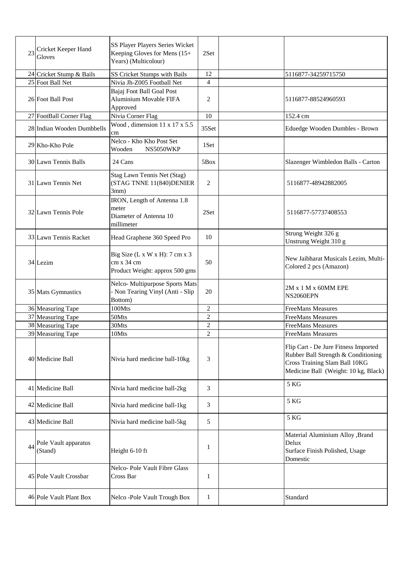| 23 | Cricket Keeper Hand<br>Gloves   | SS Player Players Series Wicket<br>Keeping Gloves for Mens (15+<br>Years) (Multicolour) | 2Set           |                                                                                                                                                      |
|----|---------------------------------|-----------------------------------------------------------------------------------------|----------------|------------------------------------------------------------------------------------------------------------------------------------------------------|
|    | 24 Cricket Stump & Bails        | SS Cricket Stumps with Bails                                                            | 12             | 5116877-34259715750                                                                                                                                  |
|    | 25 Foot Ball Net                | Nivia Jh-Z005 Football Net                                                              | $\overline{4}$ |                                                                                                                                                      |
|    | 26 Foot Ball Post               | Bajaj Foot Ball Goal Post<br>Aluminium Movable FIFA<br>Approved                         | 2              | 5116877-88524960593                                                                                                                                  |
|    | 27 FootBall Corner Flag         | Nivia Corner Flag                                                                       | 10             | 152.4 cm                                                                                                                                             |
|    | 28 Indian Wooden Dumbbells      | Wood, dimension 11 x 17 x 5.5<br>cm                                                     | 35Set          | Eduedge Wooden Dumbles - Brown                                                                                                                       |
|    | 29 Kho-Kho Pole                 | Nelco - Kho Kho Post Set<br>Wooden<br>NS5050WKP                                         | 1Set           |                                                                                                                                                      |
|    | 30 Lawn Tennis Balls            | 24 Cans                                                                                 | 5Box           | Slazenger Wimbledon Balls - Carton                                                                                                                   |
|    | 31 Lawn Tennis Net              | Stag Lawn Tennis Net (Stag)<br>(STAG TNNE 11(840)DENIER<br>3mm)                         | $\overline{2}$ | 5116877-48942882005                                                                                                                                  |
|    | 32 Lawn Tennis Pole             | IRON, Length of Antenna 1.8<br>meter<br>Diameter of Antenna 10<br>millimeter            | 2Set           | 5116877-57737408553                                                                                                                                  |
|    | 33 Lawn Tennis Racket           | Head Graphene 360 Speed Pro                                                             | 10             | Strung Weight 326 g<br>Unstrung Weight 310 g                                                                                                         |
|    | 34 Lezim                        | Big Size (L x W x H): 7 cm x 3<br>cm x 34 cm<br>Product Weight: approx 500 gms          | 50             | New Jaibharat Musicals Lezim, Multi-<br>Colored 2 pcs (Amazon)                                                                                       |
|    | 35 Mats Gymnastics              | Nelco-Multipurpose Sports Mats<br>- Non Tearing Vinyl (Anti - Slip<br>Bottom)           | 20             | 2M x 1 M x 60MM EPE<br>NS2060EPN                                                                                                                     |
|    | 36 Measuring Tape               | 100Mts                                                                                  | $\overline{2}$ | FreeMans Measures                                                                                                                                    |
|    | 37 Measuring Tape               | 50Mts                                                                                   | $\overline{c}$ | <b>FreeMans Measures</b>                                                                                                                             |
|    | 38 Measuring Tape               | 30Mts                                                                                   | $\overline{c}$ | FreeMans Measures                                                                                                                                    |
|    | 39 Measuring Tape               | 10Mts                                                                                   | $\sqrt{2}$     | <b>FreeMans Measures</b>                                                                                                                             |
|    | 40 Medicine Ball                | Nivia hard medicine ball-10kg                                                           | 3              | Flip Cart - De Jure Fitness Imported<br>Rubber Ball Strength & Conditioning<br>Cross Training Slam Ball 10KG<br>Medicine Ball (Weight: 10 kg, Black) |
|    | 41 Medicine Ball                | Nivia hard medicine ball-2kg                                                            | 3              | 5 KG                                                                                                                                                 |
|    | 42 Medicine Ball                | Nivia hard medicine ball-1kg                                                            | 3              | 5 KG                                                                                                                                                 |
|    | 43 Medicine Ball                | Nivia hard medicine ball-5kg                                                            | 5              | 5 KG                                                                                                                                                 |
| 44 | Pole Vault apparatus<br>(Stand) | Height 6-10 ft                                                                          | 1              | Material Aluminium Alloy , Brand<br>Delux<br>Surface Finish Polished, Usage<br>Domestic                                                              |
|    | 45 Pole Vault Crossbar          | Nelco-Pole Vault Fibre Glass<br>Cross Bar                                               | 1              |                                                                                                                                                      |
|    | 46 Pole Vault Plant Box         | Nelco-Pole Vault Trough Box                                                             | $\mathbf{1}$   | Standard                                                                                                                                             |